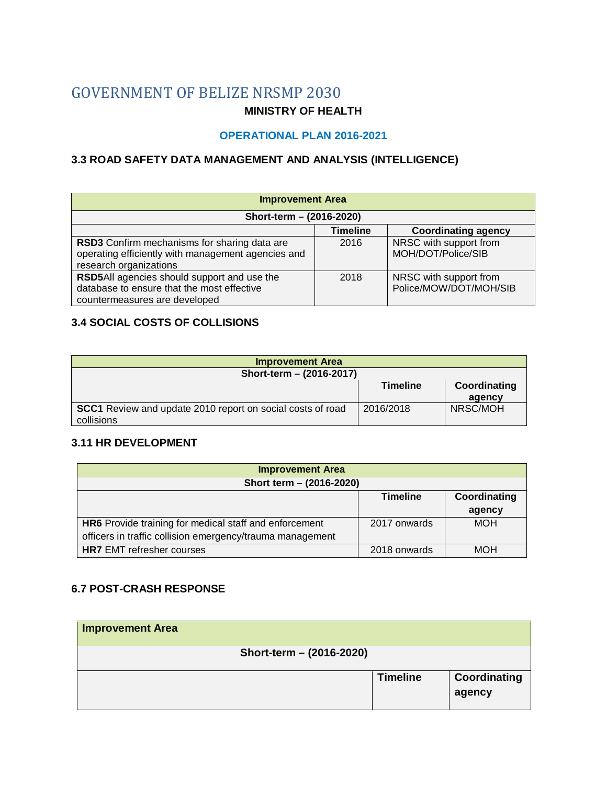# GOVERNMENT OF BELIZE NRSMP 2030

#### **MINISTRY OF HEALTH**

#### **OPERATIONAL PLAN 2016-2021**

# **3.3 ROAD SAFETY DATA MANAGEMENT AND ANALYSIS (INTELLIGENCE)**

| <b>Improvement Area</b>                                                                                                      |                 |                                                  |  |  |  |  |  |
|------------------------------------------------------------------------------------------------------------------------------|-----------------|--------------------------------------------------|--|--|--|--|--|
| Short-term - (2016-2020)                                                                                                     |                 |                                                  |  |  |  |  |  |
|                                                                                                                              | <b>Timeline</b> | <b>Coordinating agency</b>                       |  |  |  |  |  |
| RSD3 Confirm mechanisms for sharing data are<br>operating efficiently with management agencies and<br>research organizations | 2016            | NRSC with support from<br>MOH/DOT/Police/SIB     |  |  |  |  |  |
| RSD5All agencies should support and use the<br>database to ensure that the most effective<br>countermeasures are developed   | 2018            | NRSC with support from<br>Police/MOW/DOT/MOH/SIB |  |  |  |  |  |

## **3.4 SOCIAL COSTS OF COLLISIONS**

| <b>Improvement Area</b>                                           |                 |              |  |  |  |  |
|-------------------------------------------------------------------|-----------------|--------------|--|--|--|--|
| Short-term - (2016-2017)                                          |                 |              |  |  |  |  |
|                                                                   | <b>Timeline</b> | Coordinating |  |  |  |  |
|                                                                   |                 | agency       |  |  |  |  |
| <b>SCC1</b> Review and update 2010 report on social costs of road | 2016/2018       | NRSC/MOH     |  |  |  |  |
| collisions                                                        |                 |              |  |  |  |  |

#### **3.11 HR DEVELOPMENT**

| <b>Improvement Area</b>                                   |                 |              |  |  |  |  |  |
|-----------------------------------------------------------|-----------------|--------------|--|--|--|--|--|
| Short term - (2016-2020)                                  |                 |              |  |  |  |  |  |
|                                                           | <b>Timeline</b> | Coordinating |  |  |  |  |  |
|                                                           |                 | agency       |  |  |  |  |  |
| HR6 Provide training for medical staff and enforcement    | 2017 onwards    | <b>MOH</b>   |  |  |  |  |  |
| officers in traffic collision emergency/trauma management |                 |              |  |  |  |  |  |
| <b>HR7</b> EMT refresher courses                          | 2018 onwards    | <b>MOH</b>   |  |  |  |  |  |

#### **6.7 POST-CRASH RESPONSE**

| <b>Improvement Area</b>  |                 |                        |
|--------------------------|-----------------|------------------------|
| Short-term - (2016-2020) |                 |                        |
|                          | <b>Timeline</b> | Coordinating<br>agency |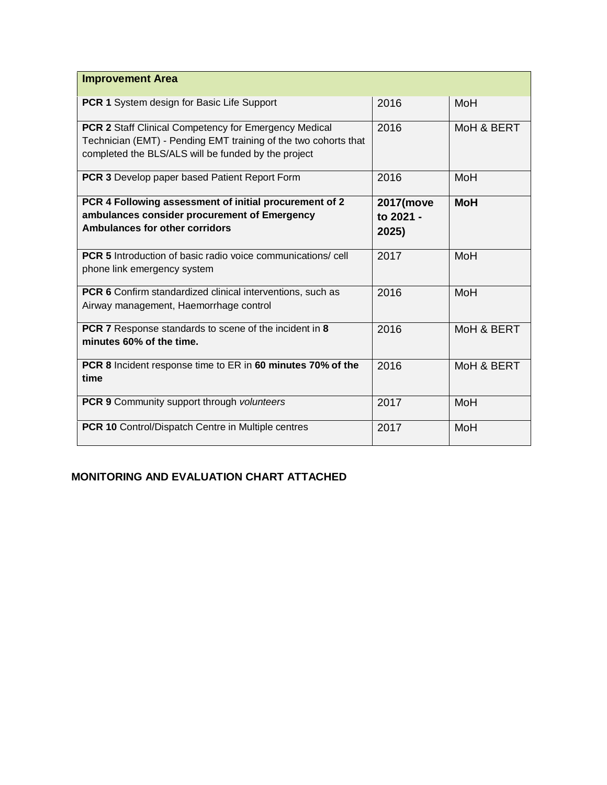| <b>Improvement Area</b>                                                                                                                                                                |                                 |            |
|----------------------------------------------------------------------------------------------------------------------------------------------------------------------------------------|---------------------------------|------------|
| PCR 1 System design for Basic Life Support                                                                                                                                             | 2016                            | MoH        |
| <b>PCR 2 Staff Clinical Competency for Emergency Medical</b><br>Technician (EMT) - Pending EMT training of the two cohorts that<br>completed the BLS/ALS will be funded by the project | 2016                            | MoH & BERT |
| <b>PCR 3</b> Develop paper based Patient Report Form                                                                                                                                   | 2016                            | MoH        |
| PCR 4 Following assessment of initial procurement of 2<br>ambulances consider procurement of Emergency<br><b>Ambulances for other corridors</b>                                        | 2017(move<br>to 2021 -<br>2025) | <b>MoH</b> |
| <b>PCR 5</b> Introduction of basic radio voice communications/cell<br>phone link emergency system                                                                                      | 2017                            | MoH        |
| <b>PCR 6</b> Confirm standardized clinical interventions, such as<br>Airway management, Haemorrhage control                                                                            | 2016                            | MoH        |
| <b>PCR 7</b> Response standards to scene of the incident in 8<br>minutes 60% of the time.                                                                                              | 2016                            | MoH & BERT |
| PCR 8 Incident response time to ER in 60 minutes 70% of the<br>time                                                                                                                    | 2016                            | MoH & BERT |
| <b>PCR 9</b> Community support through volunteers                                                                                                                                      | 2017                            | MoH        |
| PCR 10 Control/Dispatch Centre in Multiple centres                                                                                                                                     | 2017                            | MoH        |

# **MONITORING AND EVALUATION CHART ATTACHED**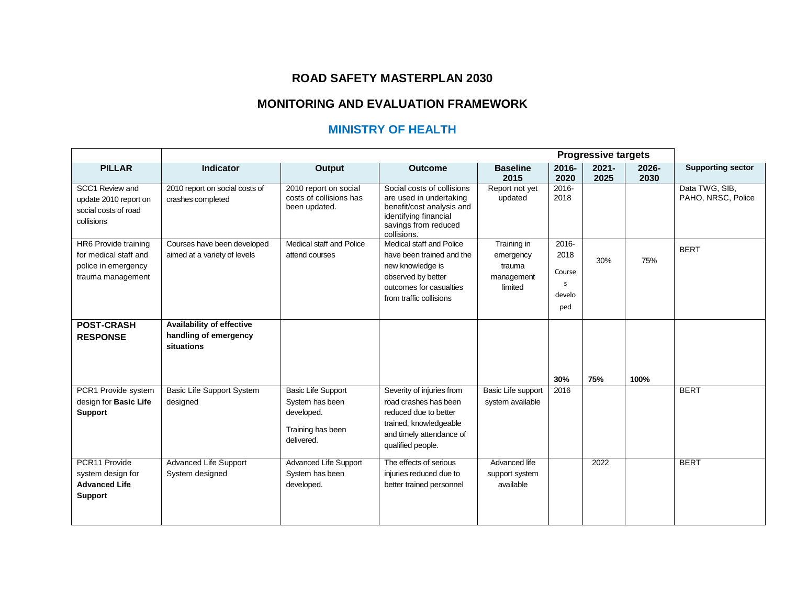## **ROAD SAFETY MASTERPLAN 2030**

# **MONITORING AND EVALUATION FRAMEWORK**

# **MINISTRY OF HEALTH**

|                                                                                           |                                                                  | <b>Progressive targets</b>                                                                    |                                                                                                                                                        |                                                             |                                                             |                  |               |                                      |
|-------------------------------------------------------------------------------------------|------------------------------------------------------------------|-----------------------------------------------------------------------------------------------|--------------------------------------------------------------------------------------------------------------------------------------------------------|-------------------------------------------------------------|-------------------------------------------------------------|------------------|---------------|--------------------------------------|
| <b>PILLAR</b>                                                                             | <b>Indicator</b>                                                 | <b>Output</b>                                                                                 | <b>Outcome</b>                                                                                                                                         | <b>Baseline</b><br>2015                                     | 2016-<br>2020                                               | $2021 -$<br>2025 | 2026-<br>2030 | <b>Supporting sector</b>             |
| SCC1 Review and<br>update 2010 report on<br>social costs of road<br>collisions            | 2010 report on social costs of<br>crashes completed              | 2010 report on social<br>costs of collisions has<br>been updated.                             | Social costs of collisions<br>are used in undertaking<br>benefit/cost analysis and<br>identifying financial<br>savings from reduced<br>collisions.     | Report not yet<br>updated                                   | 2016-<br>2018                                               |                  |               | Data TWG, SIB,<br>PAHO, NRSC, Police |
| HR6 Provide training<br>for medical staff and<br>police in emergency<br>trauma management | Courses have been developed<br>aimed at a variety of levels      | Medical staff and Police<br>attend courses                                                    | Medical staff and Police<br>have been trained and the<br>new knowledge is<br>observed by better<br>outcomes for casualties<br>from traffic collisions  | Training in<br>emergency<br>trauma<br>management<br>limited | $2016 -$<br>2018<br>Course<br><sub>S</sub><br>develo<br>ped | 30%              | 75%           | <b>BERT</b>                          |
| <b>POST-CRASH</b><br><b>RESPONSE</b>                                                      | Availability of effective<br>handling of emergency<br>situations |                                                                                               |                                                                                                                                                        |                                                             | 30%                                                         | 75%              | 100%          |                                      |
| PCR1 Provide system<br>design for Basic Life<br><b>Support</b>                            | Basic Life Support System<br>designed                            | <b>Basic Life Support</b><br>System has been<br>developed.<br>Training has been<br>delivered. | Severity of injuries from<br>road crashes has been<br>reduced due to better<br>trained, knowledgeable<br>and timely attendance of<br>qualified people. | Basic Life support<br>system available                      | 2016                                                        |                  |               | <b>BERT</b>                          |
| PCR11 Provide<br>system design for<br><b>Advanced Life</b><br><b>Support</b>              | <b>Advanced Life Support</b><br>System designed                  | Advanced Life Support<br>System has been<br>developed.                                        | The effects of serious<br>injuries reduced due to<br>better trained personnel                                                                          | Advanced life<br>support system<br>available                |                                                             | 2022             |               | <b>BERT</b>                          |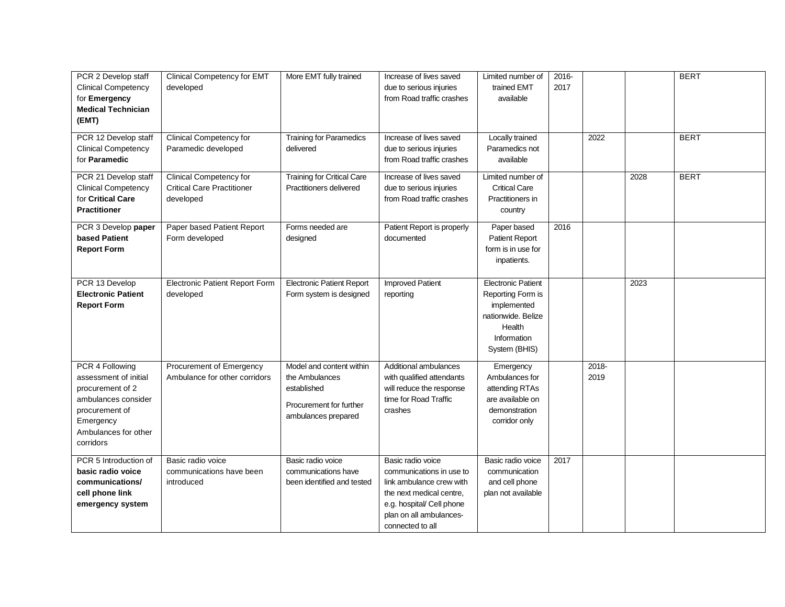| PCR 2 Develop staff        | Clinical Competency for EMT           | More EMT fully trained            | Increase of lives saved    | Limited number of         | 2016- |       |      | <b>BERT</b> |
|----------------------------|---------------------------------------|-----------------------------------|----------------------------|---------------------------|-------|-------|------|-------------|
| <b>Clinical Competency</b> | developed                             |                                   | due to serious injuries    | trained EMT               | 2017  |       |      |             |
| for Emergency              |                                       |                                   | from Road traffic crashes  | available                 |       |       |      |             |
| <b>Medical Technician</b>  |                                       |                                   |                            |                           |       |       |      |             |
| (EMT)                      |                                       |                                   |                            |                           |       |       |      |             |
|                            |                                       |                                   |                            |                           |       |       |      |             |
| PCR 12 Develop staff       | <b>Clinical Competency for</b>        | <b>Training for Paramedics</b>    | Increase of lives saved    | Locally trained           |       | 2022  |      | <b>BERT</b> |
| <b>Clinical Competency</b> | Paramedic developed                   | delivered                         | due to serious injuries    | Paramedics not            |       |       |      |             |
| for Paramedic              |                                       |                                   | from Road traffic crashes  | available                 |       |       |      |             |
| PCR 21 Develop staff       | Clinical Competency for               | <b>Training for Critical Care</b> | Increase of lives saved    | Limited number of         |       |       | 2028 | <b>BERT</b> |
| <b>Clinical Competency</b> | <b>Critical Care Practitioner</b>     | Practitioners delivered           | due to serious injuries    | <b>Critical Care</b>      |       |       |      |             |
| for Critical Care          | developed                             |                                   | from Road traffic crashes  | Practitioners in          |       |       |      |             |
| <b>Practitioner</b>        |                                       |                                   |                            | country                   |       |       |      |             |
| PCR 3 Develop paper        | Paper based Patient Report            | Forms needed are                  | Patient Report is properly | Paper based               | 2016  |       |      |             |
| based Patient              | Form developed                        | designed                          | documented                 | <b>Patient Report</b>     |       |       |      |             |
| <b>Report Form</b>         |                                       |                                   |                            | form is in use for        |       |       |      |             |
|                            |                                       |                                   |                            | inpatients.               |       |       |      |             |
|                            |                                       |                                   |                            |                           |       |       |      |             |
| PCR 13 Develop             | <b>Electronic Patient Report Form</b> | <b>Electronic Patient Report</b>  | <b>Improved Patient</b>    | <b>Electronic Patient</b> |       |       | 2023 |             |
| <b>Electronic Patient</b>  | developed                             | Form system is designed           | reporting                  | Reporting Form is         |       |       |      |             |
| <b>Report Form</b>         |                                       |                                   |                            | implemented               |       |       |      |             |
|                            |                                       |                                   |                            | nationwide. Belize        |       |       |      |             |
|                            |                                       |                                   |                            | Health                    |       |       |      |             |
|                            |                                       |                                   |                            | Information               |       |       |      |             |
|                            |                                       |                                   |                            | System (BHIS)             |       |       |      |             |
| PCR 4 Following            | Procurement of Emergency              | Model and content within          | Additional ambulances      | Emergency                 |       | 2018- |      |             |
| assessment of initial      | Ambulance for other corridors         | the Ambulances                    | with qualified attendants  | Ambulances for            |       | 2019  |      |             |
| procurement of 2           |                                       | established                       | will reduce the response   | attending RTAs            |       |       |      |             |
| ambulances consider        |                                       |                                   | time for Road Traffic      | are available on          |       |       |      |             |
| procurement of             |                                       | Procurement for further           | crashes                    | demonstration             |       |       |      |             |
| Emergency                  |                                       | ambulances prepared               |                            | corridor only             |       |       |      |             |
| Ambulances for other       |                                       |                                   |                            |                           |       |       |      |             |
| corridors                  |                                       |                                   |                            |                           |       |       |      |             |
|                            |                                       |                                   |                            |                           |       |       |      |             |
| PCR 5 Introduction of      | Basic radio voice                     | Basic radio voice                 | Basic radio voice          | Basic radio voice         | 2017  |       |      |             |
| basic radio voice          | communications have been              | communications have               | communications in use to   | communication             |       |       |      |             |
| communications/            | introduced                            | been identified and tested        | link ambulance crew with   | and cell phone            |       |       |      |             |
| cell phone link            |                                       |                                   | the next medical centre,   | plan not available        |       |       |      |             |
| emergency system           |                                       |                                   | e.g. hospital/ Cell phone  |                           |       |       |      |             |
|                            |                                       |                                   | plan on all ambulances-    |                           |       |       |      |             |
|                            |                                       |                                   | connected to all           |                           |       |       |      |             |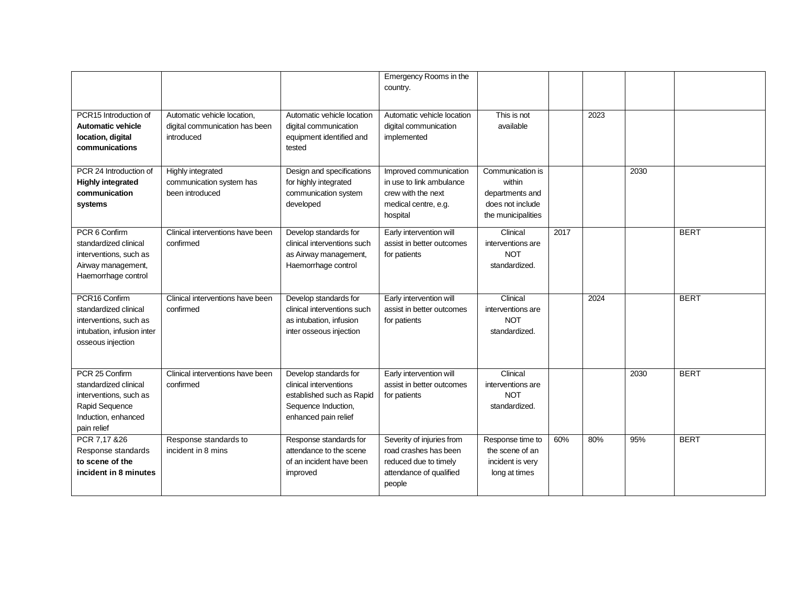|                                                                                                                           |                                                                             |                                                                                                                             | Emergency Rooms in the<br>country.                                                                               |                                                                                         |      |      |      |             |
|---------------------------------------------------------------------------------------------------------------------------|-----------------------------------------------------------------------------|-----------------------------------------------------------------------------------------------------------------------------|------------------------------------------------------------------------------------------------------------------|-----------------------------------------------------------------------------------------|------|------|------|-------------|
| PCR15 Introduction of<br>Automatic vehicle<br>location, digital<br>communications                                         | Automatic vehicle location,<br>digital communication has been<br>introduced | Automatic vehicle location<br>digital communication<br>equipment identified and<br>tested                                   | Automatic vehicle location<br>digital communication<br>implemented                                               | This is not<br>available                                                                |      | 2023 |      |             |
| PCR 24 Introduction of<br><b>Highly integrated</b><br>communication<br>systems                                            | <b>Highly integrated</b><br>communication system has<br>been introduced     | Design and specifications<br>for highly integrated<br>communication system<br>developed                                     | Improved communication<br>in use to link ambulance<br>crew with the next<br>medical centre, e.g.<br>hospital     | Communication is<br>within<br>departments and<br>does not include<br>the municipalities |      |      | 2030 |             |
| PCR 6 Confirm<br>standardized clinical<br>interventions, such as<br>Airway management,<br>Haemorrhage control             | Clinical interventions have been<br>confirmed                               | Develop standards for<br>clinical interventions such<br>as Airway management,<br>Haemorrhage control                        | Early intervention will<br>assist in better outcomes<br>for patients                                             | Clinical<br>interventions are<br><b>NOT</b><br>standardized.                            | 2017 |      |      | <b>BERT</b> |
| PCR16 Confirm<br>standardized clinical<br>interventions, such as<br>intubation, infusion inter<br>osseous injection       | Clinical interventions have been<br>confirmed                               | Develop standards for<br>clinical interventions such<br>as intubation, infusion<br>inter osseous injection                  | Early intervention will<br>assist in better outcomes<br>for patients                                             | Clinical<br>interventions are<br><b>NOT</b><br>standardized.                            |      | 2024 |      | <b>BERT</b> |
| PCR 25 Confirm<br>standardized clinical<br>interventions, such as<br>Rapid Sequence<br>Induction, enhanced<br>pain relief | Clinical interventions have been<br>confirmed                               | Develop standards for<br>clinical interventions<br>established such as Rapid<br>Sequence Induction,<br>enhanced pain relief | Early intervention will<br>assist in better outcomes<br>for patients                                             | Clinical<br>interventions are<br><b>NOT</b><br>standardized.                            |      |      | 2030 | <b>BERT</b> |
| PCR 7,17 & 26<br>Response standards<br>to scene of the<br>incident in 8 minutes                                           | Response standards to<br>incident in 8 mins                                 | Response standards for<br>attendance to the scene<br>of an incident have been<br>improved                                   | Severity of injuries from<br>road crashes has been<br>reduced due to timely<br>attendance of qualified<br>people | Response time to<br>the scene of an<br>incident is very<br>long at times                | 60%  | 80%  | 95%  | <b>BERT</b> |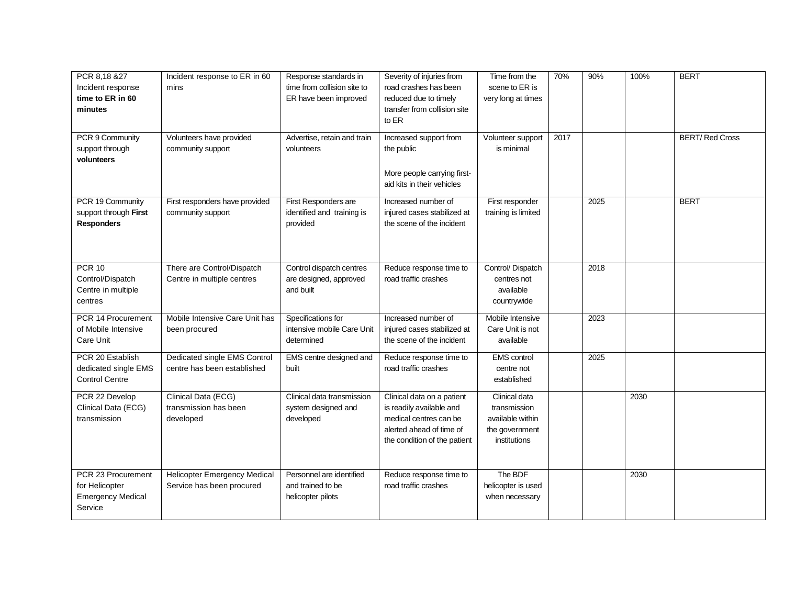| PCR 8,18 &27<br>Incident response<br>time to ER in 60<br>minutes            | Incident response to ER in 60<br>mins                            | Response standards in<br>time from collision site to<br>ER have been improved | Severity of injuries from<br>road crashes has been<br>reduced due to timely<br>transfer from collision site<br>to ER                         | Time from the<br>scene to ER is<br>very long at times                               | 70%  | 90%  | 100% | <b>BERT</b>           |
|-----------------------------------------------------------------------------|------------------------------------------------------------------|-------------------------------------------------------------------------------|----------------------------------------------------------------------------------------------------------------------------------------------|-------------------------------------------------------------------------------------|------|------|------|-----------------------|
| PCR 9 Community<br>support through<br>volunteers                            | Volunteers have provided<br>community support                    | Advertise, retain and train<br>volunteers                                     | Increased support from<br>the public<br>More people carrying first-<br>aid kits in their vehicles                                            | Volunteer support<br>is minimal                                                     | 2017 |      |      | <b>BERT/Red Cross</b> |
| PCR 19 Community<br>support through First<br><b>Responders</b>              | First responders have provided<br>community support              | First Responders are<br>identified and training is<br>provided                | Increased number of<br>injured cases stabilized at<br>the scene of the incident                                                              | First responder<br>training is limited                                              |      | 2025 |      | <b>BERT</b>           |
| <b>PCR 10</b><br>Control/Dispatch<br>Centre in multiple<br>centres          | There are Control/Dispatch<br>Centre in multiple centres         | Control dispatch centres<br>are designed, approved<br>and built               | Reduce response time to<br>road traffic crashes                                                                                              | Control/Dispatch<br>centres not<br>available<br>countrywide                         |      | 2018 |      |                       |
| PCR 14 Procurement<br>of Mobile Intensive<br>Care Unit                      | Mobile Intensive Care Unit has<br>been procured                  | Specifications for<br>intensive mobile Care Unit<br>determined                | Increased number of<br>injured cases stabilized at<br>the scene of the incident                                                              | Mobile Intensive<br>Care Unit is not<br>available                                   |      | 2023 |      |                       |
| PCR 20 Establish<br>dedicated single EMS<br><b>Control Centre</b>           | Dedicated single EMS Control<br>centre has been established      | EMS centre designed and<br>built                                              | Reduce response time to<br>road traffic crashes                                                                                              | <b>EMS</b> control<br>centre not<br>established                                     |      | 2025 |      |                       |
| PCR 22 Develop<br>Clinical Data (ECG)<br>transmission                       | Clinical Data (ECG)<br>transmission has been<br>developed        | Clinical data transmission<br>system designed and<br>developed                | Clinical data on a patient<br>is readily available and<br>medical centres can be<br>alerted ahead of time of<br>the condition of the patient | Clinical data<br>transmission<br>available within<br>the government<br>institutions |      |      | 2030 |                       |
| PCR 23 Procurement<br>for Helicopter<br><b>Emergency Medical</b><br>Service | <b>Helicopter Emergency Medical</b><br>Service has been procured | Personnel are identified<br>and trained to be<br>helicopter pilots            | Reduce response time to<br>road traffic crashes                                                                                              | The BDF<br>helicopter is used<br>when necessary                                     |      |      | 2030 |                       |